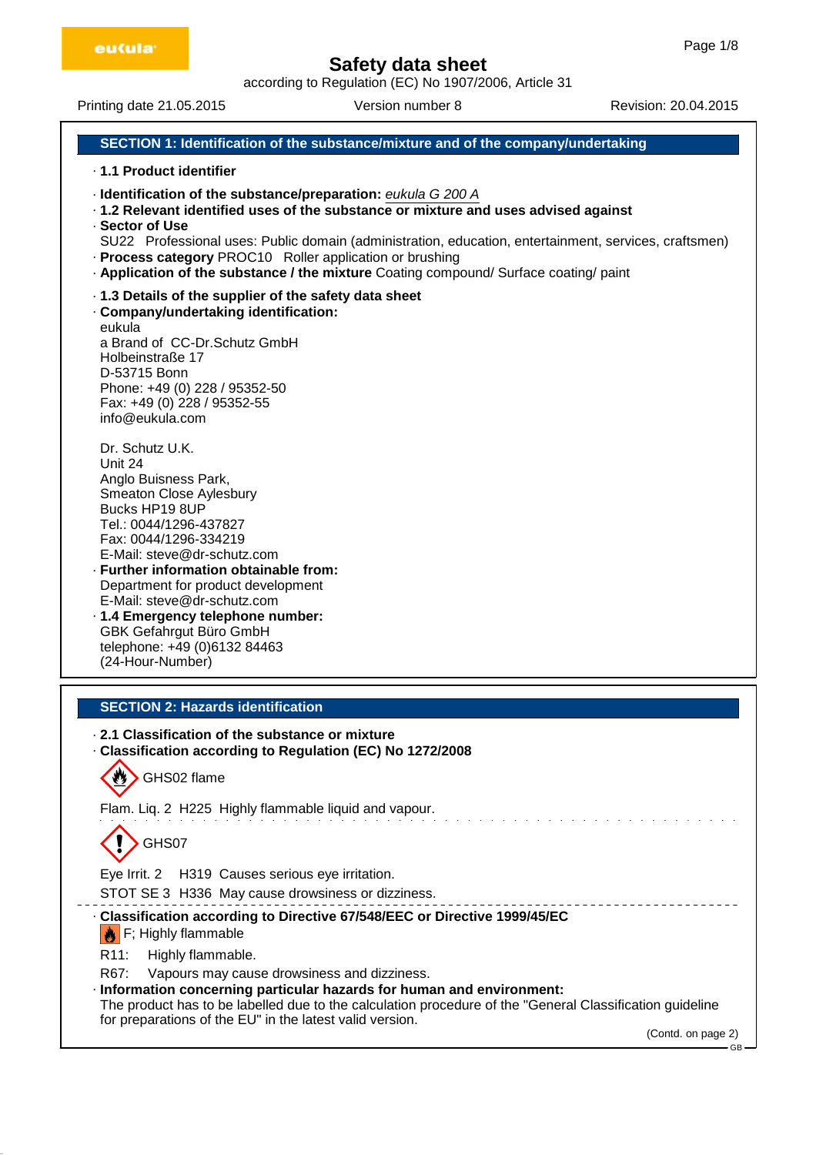according to Regulation (EC) No 1907/2006, Article 31

Printing date 21.05.2015 Version number 8 Revision: 20.04.2015

# **SECTION 1: Identification of the substance/mixture and of the company/undertaking**

- · **1.1 Product identifier**
- · **Identification of the substance/preparation:** eukula G 200 A
- · **1.2 Relevant identified uses of the substance or mixture and uses advised against**
- · **Sector of Use**

- · **Process category** PROC10 Roller application or brushing
- · **Application of the substance / the mixture** Coating compound/ Surface coating/ paint
- · **1.3 Details of the supplier of the safety data sheet**
- · **Company/undertaking identification:**

eukula a Brand of CC-Dr.Schutz GmbH Holbeinstraße 17 D-53715 Bonn Phone: +49 (0) 228 / 95352-50 Fax: +49 (0) 228 / 95352-55 info@eukula.com

Dr. Schutz U.K. Unit 24 Anglo Buisness Park, Smeaton Close Aylesbury Bucks HP19 8UP Tel.: 0044/1296-437827 Fax: 0044/1296-334219 E-Mail: steve@dr-schutz.com

- · **Further information obtainable from:** Department for product development E-Mail: steve@dr-schutz.com
- · **1.4 Emergency telephone number:** GBK Gefahrgut Büro GmbH telephone: +49 (0)6132 84463 (24-Hour-Number)

# **SECTION 2: Hazards identification**

## · **2.1 Classification of the substance or mixture**

· **Classification according to Regulation (EC) No 1272/2008**

GHS02 flame

Flam. Liq. 2 H225 Highly flammable liquid and vapour.

GHS07

Eye Irrit. 2 H319 Causes serious eye irritation.

STOT SE 3 H336 May cause drowsiness or dizziness.

- · **Classification according to Directive 67/548/EEC or Directive 1999/45/EC**
- $\left|\bigstar\right|$  F; Highly flammable
- R11: Highly flammable.

R67: Vapours may cause drowsiness and dizziness.

· **Information concerning particular hazards for human and environment:**

The product has to be labelled due to the calculation procedure of the "General Classification guideline for preparations of the EU" in the latest valid version.

(Contd. on page 2)

GB

SU22 Professional uses: Public domain (administration, education, entertainment, services, craftsmen)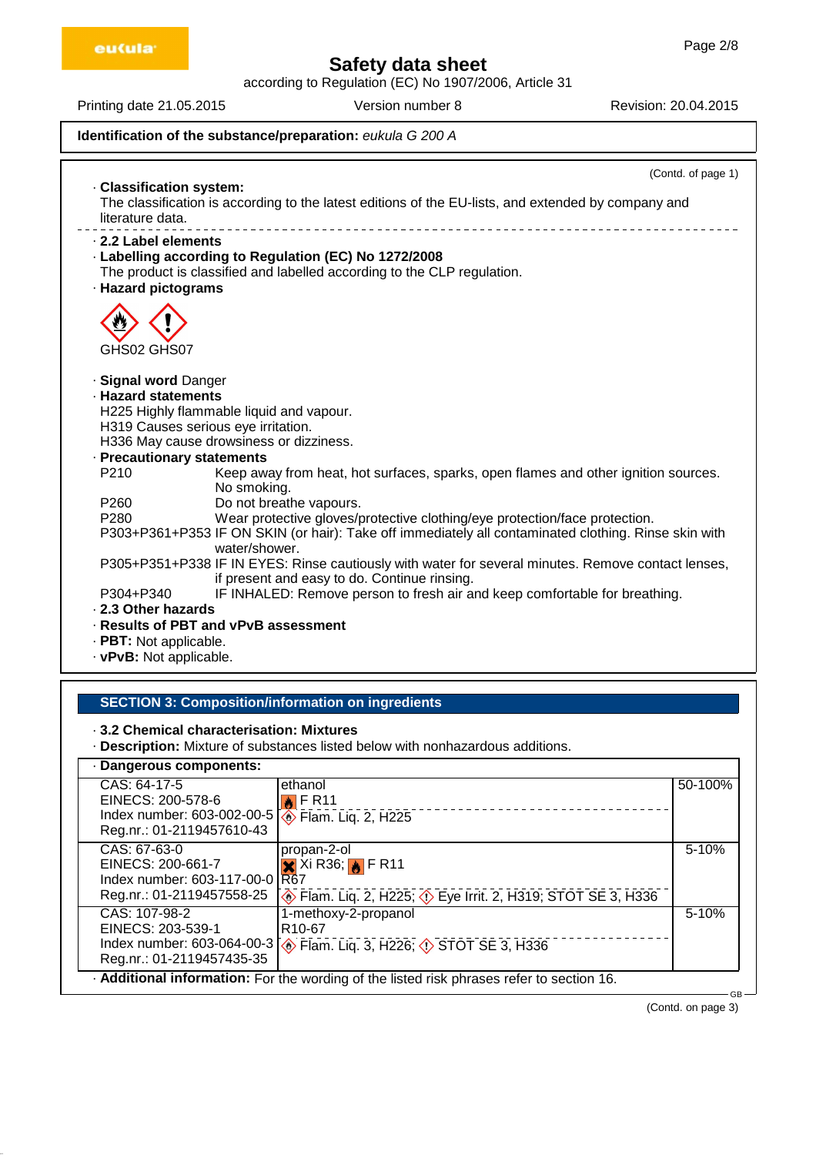according to Regulation (EC) No 1907/2006, Article 31

Printing date 21.05.2015 Version number 8 Revision: 20.04.2015

**Identification of the substance/preparation:** eukula G 200 A

(Contd. of page 1) · **Classification system:** The classification is according to the latest editions of the EU-lists, and extended by company and literature data. · **2.2 Label elements** · **Labelling according to Regulation (EC) No 1272/2008** The product is classified and labelled according to the CLP regulation. · **Hazard pictograms** GHS02 GHS07 · **Signal word** Danger · **Hazard statements** H225 Highly flammable liquid and vapour. H319 Causes serious eye irritation. H336 May cause drowsiness or dizziness. · **Precautionary statements** P210 Keep away from heat, hot surfaces, sparks, open flames and other ignition sources. No smoking. P260 Do not breathe vapours.<br>P280 Wear protective gloves/r Wear protective gloves/protective clothing/eye protection/face protection. P303+P361+P353 IF ON SKIN (or hair): Take off immediately all contaminated clothing. Rinse skin with water/shower. P305+P351+P338 IF IN EYES: Rinse cautiously with water for several minutes. Remove contact lenses, if present and easy to do. Continue rinsing. P304+P340 IF INHALED: Remove person to fresh air and keep comfortable for breathing. · **2.3 Other hazards** · **Results of PBT and vPvB assessment** · **PBT:** Not applicable.

· **vPvB:** Not applicable.

# **SECTION 3: Composition/information on ingredients**

· **3.2 Chemical characterisation: Mixtures**

· **Description:** Mixture of substances listed below with nonhazardous additions.

# · **Dangerous components:**

| CAS: 64-17-5<br>EINECS: 200-578-6<br>Index number: 603-002-00-5<br>Reg.nr.: 01-2119457610-43    | ethanol<br>$\bigotimes$ FR11<br><b>Elam. Liq. 2, H225</b>                                                                                                   | 50-100%   |
|-------------------------------------------------------------------------------------------------|-------------------------------------------------------------------------------------------------------------------------------------------------------------|-----------|
| CAS: 67-63-0<br>EINECS: 200-661-7<br>Index number: 603-117-00-0<br>Reg.nr.: 01-2119457558-25    | propan-2-ol<br>$\overline{\mathsf{X}}$ Xi R36; $\overline{\mathsf{N}}$ F R11<br>R67<br>Flam. Liq. 2, H225; $\circled{}$ Eye Irrit. 2, H319; STOT SE 3, H336 | 5-10%     |
| CAS: 107-98-2<br>EINECS: 203-539-1<br>Index number: 603-064-00-3<br>Reg.nr.: 01-2119457435-35   | 1-methoxy-2-propanol<br>R <sub>10</sub> -67<br>♦ Flam. Liq. 3, H226; ♦ STOT SE 3, H336                                                                      | $5 - 10%$ |
| - Additional information: For the wording of the listed risk phrases refer to section 16.<br>GB |                                                                                                                                                             |           |

(Contd. on page 3)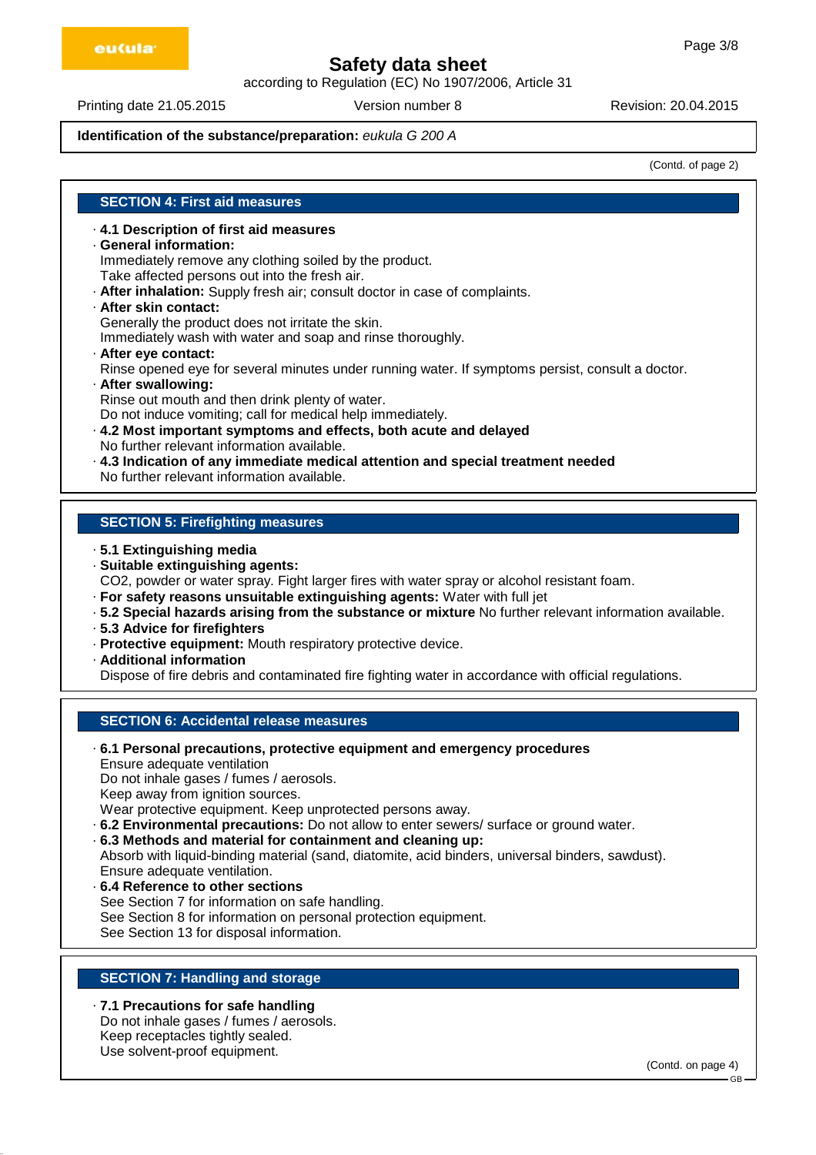according to Regulation (EC) No 1907/2006, Article 31

Printing date 21.05.2015 Version number 8 Revision: 20.04.2015

## **Identification of the substance/preparation:** eukula G 200 A

(Contd. of page 2)

# **SECTION 4: First aid measures**

# · **4.1 Description of first aid measures**

#### · **General information:**

Immediately remove any clothing soiled by the product.

- Take affected persons out into the fresh air.
- · **After inhalation:** Supply fresh air; consult doctor in case of complaints.
- · **After skin contact:**

Generally the product does not irritate the skin.

Immediately wash with water and soap and rinse thoroughly.

- · **After eye contact:** Rinse opened eye for several minutes under running water. If symptoms persist, consult a doctor.
- · **After swallowing:** Rinse out mouth and then drink plenty of water. Do not induce vomiting; call for medical help immediately.
- · **4.2 Most important symptoms and effects, both acute and delayed** No further relevant information available.
- · **4.3 Indication of any immediate medical attention and special treatment needed** No further relevant information available.

# **SECTION 5: Firefighting measures**

- · **5.1 Extinguishing media**
- · **Suitable extinguishing agents:**

CO2, powder or water spray. Fight larger fires with water spray or alcohol resistant foam.

- · **For safety reasons unsuitable extinguishing agents:** Water with full jet
- · **5.2 Special hazards arising from the substance or mixture** No further relevant information available.
- · **5.3 Advice for firefighters**
- · **Protective equipment:** Mouth respiratory protective device.
- · **Additional information**

Dispose of fire debris and contaminated fire fighting water in accordance with official regulations.

# **SECTION 6: Accidental release measures**

· **6.1 Personal precautions, protective equipment and emergency procedures** Ensure adequate ventilation Do not inhale gases / fumes / aerosols. Keep away from ignition sources.

- Wear protective equipment. Keep unprotected persons away.
- · **6.2 Environmental precautions:** Do not allow to enter sewers/ surface or ground water.
- · **6.3 Methods and material for containment and cleaning up:**

Absorb with liquid-binding material (sand, diatomite, acid binders, universal binders, sawdust). Ensure adequate ventilation.

· **6.4 Reference to other sections** See Section 7 for information on safe handling. See Section 8 for information on personal protection equipment. See Section 13 for disposal information.

# **SECTION 7: Handling and storage**

· **7.1 Precautions for safe handling** Do not inhale gases / fumes / aerosols. Keep receptacles tightly sealed. Use solvent-proof equipment.

(Contd. on page 4)

GB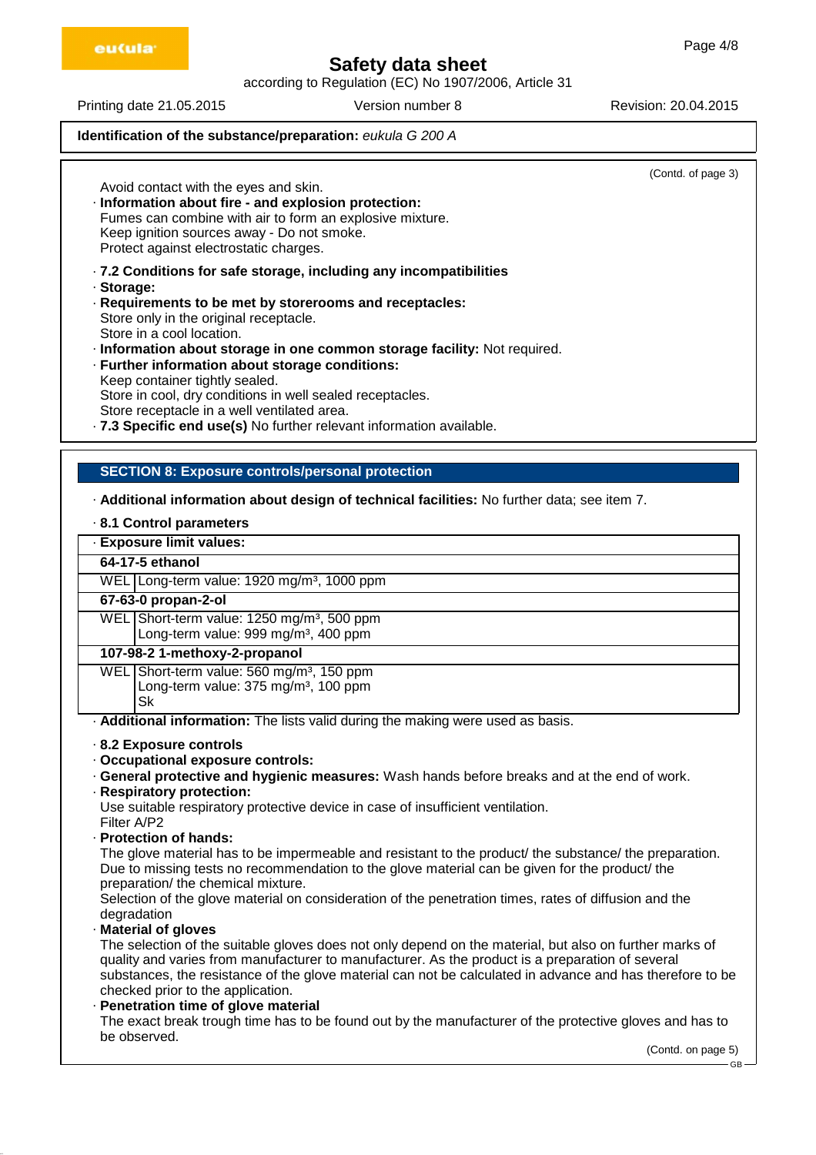according to Regulation (EC) No 1907/2006, Article 31

eu(ula<sup>.</sup>

Printing date 21.05.2015 Version number 8 Revision: 20.04.2015

# **Identification of the substance/preparation:** eukula G 200 A

 $(Contdot$  page  $3)$ 

| Avoid contact with the eyes and skin.<br>· Information about fire - and explosion protection:<br>Fumes can combine with air to form an explosive mixture.<br>Keep ignition sources away - Do not smoke.<br>Protect against electrostatic charges.                                                                                                                                                                                                                                                                                                                       | (OUTILG: OF Page of |
|-------------------------------------------------------------------------------------------------------------------------------------------------------------------------------------------------------------------------------------------------------------------------------------------------------------------------------------------------------------------------------------------------------------------------------------------------------------------------------------------------------------------------------------------------------------------------|---------------------|
| · 7.2 Conditions for safe storage, including any incompatibilities<br>· Storage:<br>· Requirements to be met by storerooms and receptacles:<br>Store only in the original receptacle.<br>Store in a cool location.<br>· Information about storage in one common storage facility: Not required.<br>· Further information about storage conditions:<br>Keep container tightly sealed.<br>Store in cool, dry conditions in well sealed receptacles.<br>Store receptacle in a well ventilated area.<br>.7.3 Specific end use(s) No further relevant information available. |                     |
| <b>SECTION 8: Exposure controls/personal protection</b>                                                                                                                                                                                                                                                                                                                                                                                                                                                                                                                 |                     |
| - Additional information about design of technical facilities: No further data; see item 7.                                                                                                                                                                                                                                                                                                                                                                                                                                                                             |                     |

# · **8.1 Control parameters**

## · **Exposure limit values:**

#### **64-17-5 ethanol**

WEL Long-term value: 1920 mg/m<sup>3</sup>, 1000 ppm

#### **67-63-0 propan-2-ol**

WEL Short-term value: 1250 mg/m<sup>3</sup>, 500 ppm Long-term value: 999 mg/m<sup>3</sup>, 400 ppm

#### **107-98-2 1-methoxy-2-propanol**

WEL Short-term value: 560 mg/m<sup>3</sup>, 150 ppm Long-term value:  $375 \text{ mg/m}^3$ , 100 ppm Sk

· **Additional information:** The lists valid during the making were used as basis.

- · **8.2 Exposure controls**
- · **Occupational exposure controls:**
- · **General protective and hygienic measures:** Wash hands before breaks and at the end of work.
- · **Respiratory protection:**

Use suitable respiratory protective device in case of insufficient ventilation.

- Filter A/P2
- · **Protection of hands:**

The glove material has to be impermeable and resistant to the product/ the substance/ the preparation. Due to missing tests no recommendation to the glove material can be given for the product/ the preparation/ the chemical mixture.

Selection of the glove material on consideration of the penetration times, rates of diffusion and the degradation

· **Material of gloves**

The selection of the suitable gloves does not only depend on the material, but also on further marks of quality and varies from manufacturer to manufacturer. As the product is a preparation of several substances, the resistance of the glove material can not be calculated in advance and has therefore to be checked prior to the application.

#### · **Penetration time of glove material**

The exact break trough time has to be found out by the manufacturer of the protective gloves and has to be observed.

GB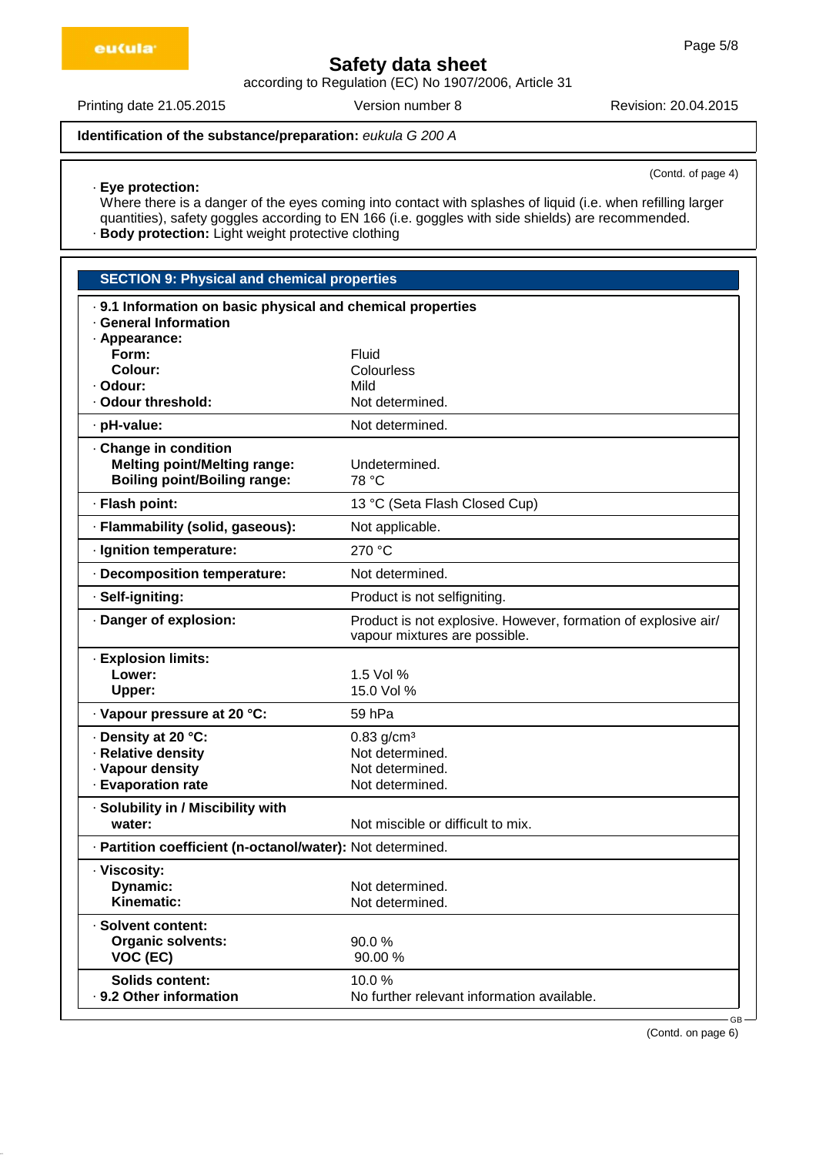according to Regulation (EC) No 1907/2006, Article 31

Printing date 21.05.2015 Version number 8 Revision: 20.04.2015

# **Identification of the substance/preparation:** eukula G 200 A

(Contd. of page 4)

· **Eye protection:** Where there is a danger of the eyes coming into contact with splashes of liquid (i.e. when refilling larger quantities), safety goggles according to EN 166 (i.e. goggles with side shields) are recommended. · **Body protection:** Light weight protective clothing

| <b>SECTION 9: Physical and chemical properties</b>                                                |                                                                                                 |  |  |  |
|---------------------------------------------------------------------------------------------------|-------------------------------------------------------------------------------------------------|--|--|--|
| . 9.1 Information on basic physical and chemical properties                                       |                                                                                                 |  |  |  |
| · General Information<br>· Appearance:                                                            |                                                                                                 |  |  |  |
| Form:                                                                                             | Fluid                                                                                           |  |  |  |
| Colour:                                                                                           | Colourless                                                                                      |  |  |  |
| · Odour:<br>· Odour threshold:                                                                    | Mild<br>Not determined.                                                                         |  |  |  |
|                                                                                                   |                                                                                                 |  |  |  |
| · pH-value:                                                                                       | Not determined.                                                                                 |  |  |  |
| Change in condition<br><b>Melting point/Melting range:</b><br><b>Boiling point/Boiling range:</b> | Undetermined.<br>78 °C                                                                          |  |  |  |
| · Flash point:                                                                                    | 13 °C (Seta Flash Closed Cup)                                                                   |  |  |  |
| · Flammability (solid, gaseous):                                                                  | Not applicable.                                                                                 |  |  |  |
| · Ignition temperature:                                                                           | 270 °C                                                                                          |  |  |  |
| · Decomposition temperature:                                                                      | Not determined.                                                                                 |  |  |  |
| · Self-igniting:                                                                                  | Product is not selfigniting.                                                                    |  |  |  |
| · Danger of explosion:                                                                            | Product is not explosive. However, formation of explosive air/<br>vapour mixtures are possible. |  |  |  |
| · Explosion limits:                                                                               |                                                                                                 |  |  |  |
| Lower:                                                                                            | 1.5 Vol %                                                                                       |  |  |  |
| <b>Upper:</b>                                                                                     | 15.0 Vol %                                                                                      |  |  |  |
| · Vapour pressure at 20 °C:                                                                       | 59 hPa                                                                                          |  |  |  |
| · Density at 20 °C:                                                                               | $0.83$ g/cm <sup>3</sup>                                                                        |  |  |  |
| · Relative density<br>· Vapour density                                                            | Not determined.<br>Not determined.                                                              |  |  |  |
| · Evaporation rate                                                                                | Not determined.                                                                                 |  |  |  |
| · Solubility in / Miscibility with                                                                |                                                                                                 |  |  |  |
| water:                                                                                            | Not miscible or difficult to mix.                                                               |  |  |  |
| · Partition coefficient (n-octanol/water): Not determined.                                        |                                                                                                 |  |  |  |
| · Viscosity:                                                                                      |                                                                                                 |  |  |  |
| Dynamic:                                                                                          | Not determined.                                                                                 |  |  |  |
| Kinematic:                                                                                        | Not determined.                                                                                 |  |  |  |
| · Solvent content:<br><b>Organic solvents:</b>                                                    | 90.0%                                                                                           |  |  |  |
| VOC (EC)                                                                                          | 90.00 %                                                                                         |  |  |  |
| <b>Solids content:</b>                                                                            | 10.0%                                                                                           |  |  |  |
| . 9.2 Other information                                                                           | No further relevant information available.                                                      |  |  |  |
|                                                                                                   |                                                                                                 |  |  |  |

(Contd. on page 6)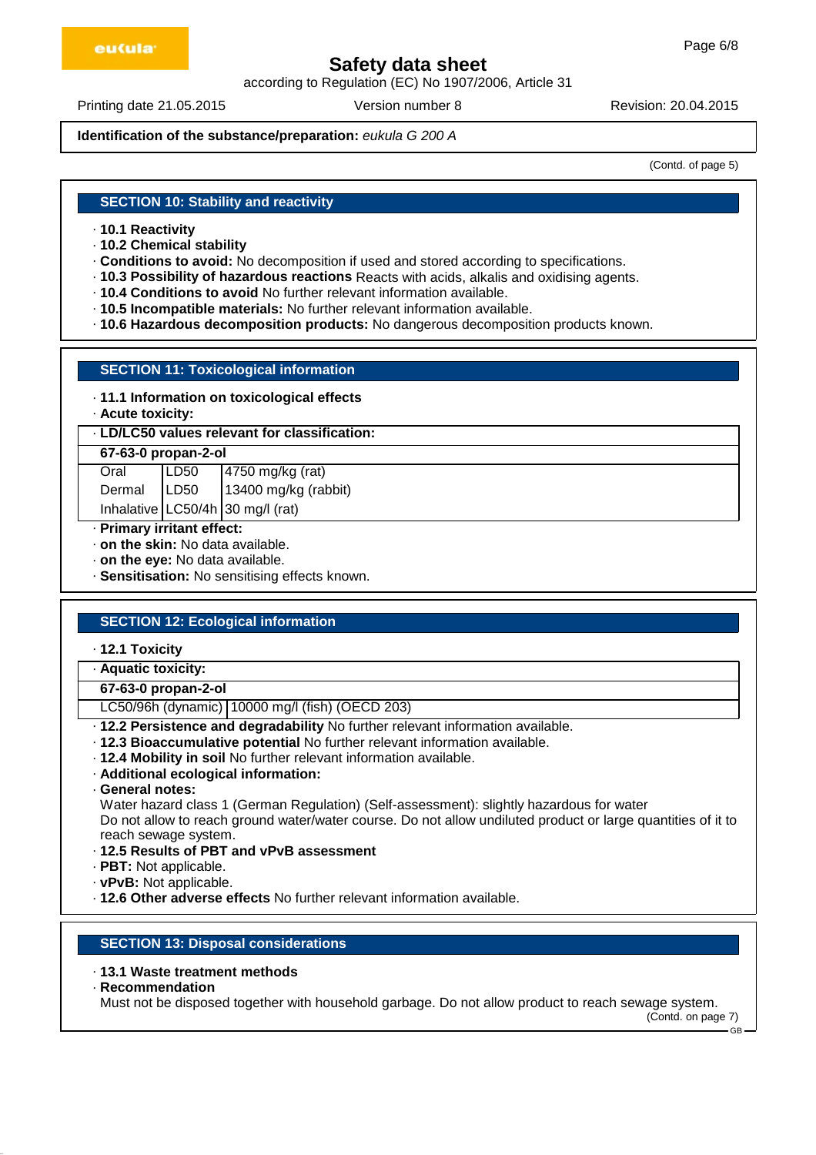according to Regulation (EC) No 1907/2006, Article 31

Printing date 21.05.2015 Version number 8 Revision: 20.04.2015

**Identification of the substance/preparation:** eukula G 200 A

(Contd. of page 5)

### **SECTION 10: Stability and reactivity**

- · **10.1 Reactivity**
- · **10.2 Chemical stability**
- · **Conditions to avoid:** No decomposition if used and stored according to specifications.
- · **10.3 Possibility of hazardous reactions** Reacts with acids, alkalis and oxidising agents.
- · **10.4 Conditions to avoid** No further relevant information available.
- · **10.5 Incompatible materials:** No further relevant information available.
- · **10.6 Hazardous decomposition products:** No dangerous decomposition products known.

### **SECTION 11: Toxicological information**

## · **11.1 Information on toxicological effects**

· **Acute toxicity:**

## · **LD/LC50 values relevant for classification:**

## **67-63-0 propan-2-ol**

| Oral | LD50 | $4750$ mg/kg (rat)                                   |
|------|------|------------------------------------------------------|
|      |      | Dermal   LD50   13400 mg/kg (rabbit)                 |
|      |      | Inhalative $\lfloor$ LC50/4h $\rfloor$ 30 mg/l (rat) |

- · **Primary irritant effect:**
- · **on the skin:** No data available.
- · **on the eye:** No data available.
- · **Sensitisation:** No sensitising effects known.

# **SECTION 12: Ecological information**

- · **12.1 Toxicity**
- · **Aquatic toxicity:**
- **67-63-0 propan-2-ol**

LC50/96h (dynamic) 10000 mg/l (fish) (OECD 203)

- · **12.2 Persistence and degradability** No further relevant information available.
- · **12.3 Bioaccumulative potential** No further relevant information available.
- · **12.4 Mobility in soil** No further relevant information available.
- · **Additional ecological information:**
- · **General notes:**

Water hazard class 1 (German Regulation) (Self-assessment): slightly hazardous for water Do not allow to reach ground water/water course. Do not allow undiluted product or large quantities of it to reach sewage system.

- · **12.5 Results of PBT and vPvB assessment**
- · **PBT:** Not applicable.
- · **vPvB:** Not applicable.
- · **12.6 Other adverse effects** No further relevant information available.

# **SECTION 13: Disposal considerations**

- · **13.1 Waste treatment methods**
- · **Recommendation**

Must not be disposed together with household garbage. Do not allow product to reach sewage system.

(Contd. on page 7)  $GR$ 

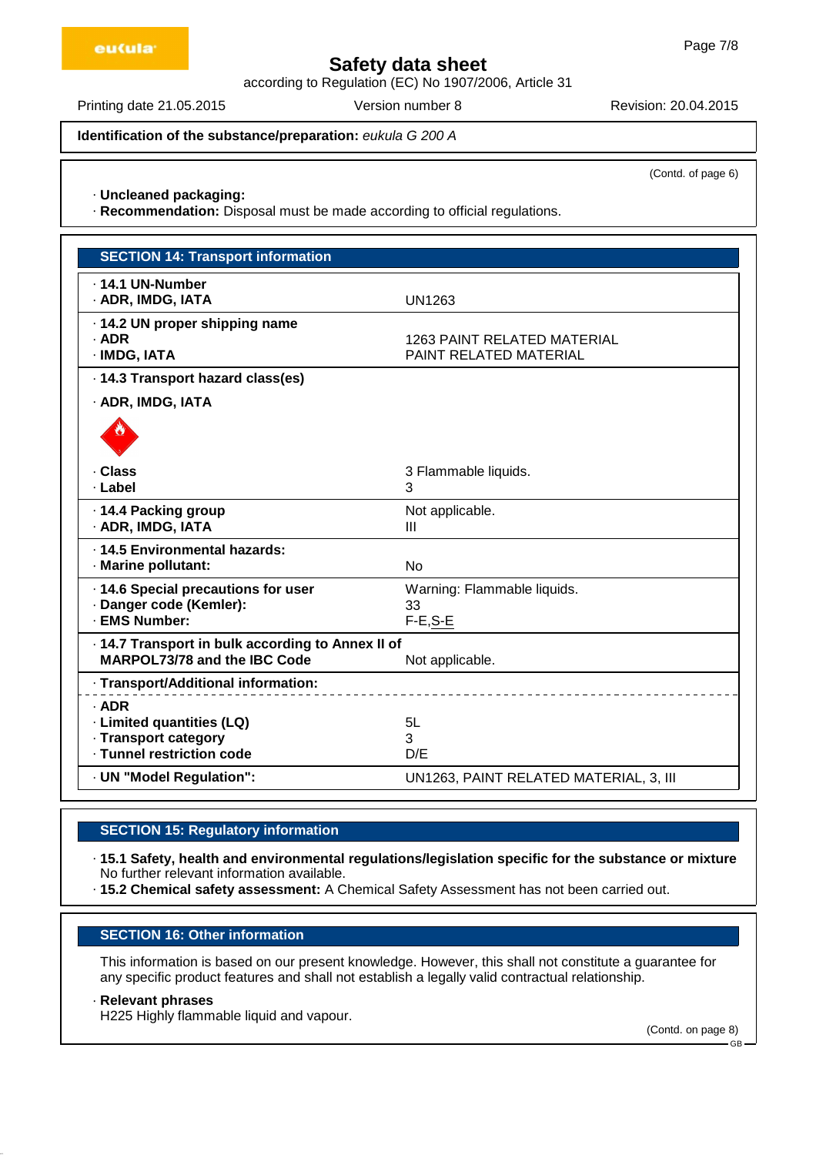according to Regulation (EC) No 1907/2006, Article 31

Printing date 21.05.2015 Version number 8 Revision: 20.04.2015

**Identification of the substance/preparation:** eukula G 200 A

(Contd. of page 6)

#### · **Uncleaned packaging:**

· **Recommendation:** Disposal must be made according to official regulations.

| <b>SECTION 14: Transport information</b>                                          |                                                       |
|-----------------------------------------------------------------------------------|-------------------------------------------------------|
| . 14.1 UN-Number<br>· ADR, IMDG, IATA                                             | <b>UN1263</b>                                         |
| · 14.2 UN proper shipping name<br>$·$ ADR<br>· IMDG, IATA                         | 1263 PAINT RELATED MATERIAL<br>PAINT RELATED MATERIAL |
| · 14.3 Transport hazard class(es)                                                 |                                                       |
| · ADR, IMDG, IATA                                                                 |                                                       |
|                                                                                   |                                                       |
| · Class                                                                           | 3 Flammable liquids.                                  |
| · Label                                                                           | 3                                                     |
| · 14.4 Packing group<br>· ADR, IMDG, IATA                                         | Not applicable.<br>$\mathbf{III}$                     |
| · 14.5 Environmental hazards:                                                     |                                                       |
| · Marine pollutant:                                                               | <b>No</b>                                             |
| · 14.6 Special precautions for user                                               | Warning: Flammable liquids.                           |
| · Danger code (Kemler):<br>· EMS Number:                                          | 33                                                    |
|                                                                                   | $F-E$ , $S-E$                                         |
| · 14.7 Transport in bulk according to Annex II of<br>MARPOL73/78 and the IBC Code | Not applicable.                                       |
| · Transport/Additional information:                                               |                                                       |
| $·$ ADR                                                                           |                                                       |
| · Limited quantities (LQ)                                                         | 5L                                                    |
| · Transport category<br>· Tunnel restriction code                                 | 3                                                     |
|                                                                                   | D/E                                                   |
| · UN "Model Regulation":                                                          | UN1263, PAINT RELATED MATERIAL, 3, III                |

# **SECTION 15: Regulatory information**

· **15.1 Safety, health and environmental regulations/legislation specific for the substance or mixture** No further relevant information available.

· **15.2 Chemical safety assessment:** A Chemical Safety Assessment has not been carried out.

# **SECTION 16: Other information**

This information is based on our present knowledge. However, this shall not constitute a guarantee for any specific product features and shall not establish a legally valid contractual relationship.

#### · **Relevant phrases**

H225 Highly flammable liquid and vapour.

(Contd. on page 8)

GB